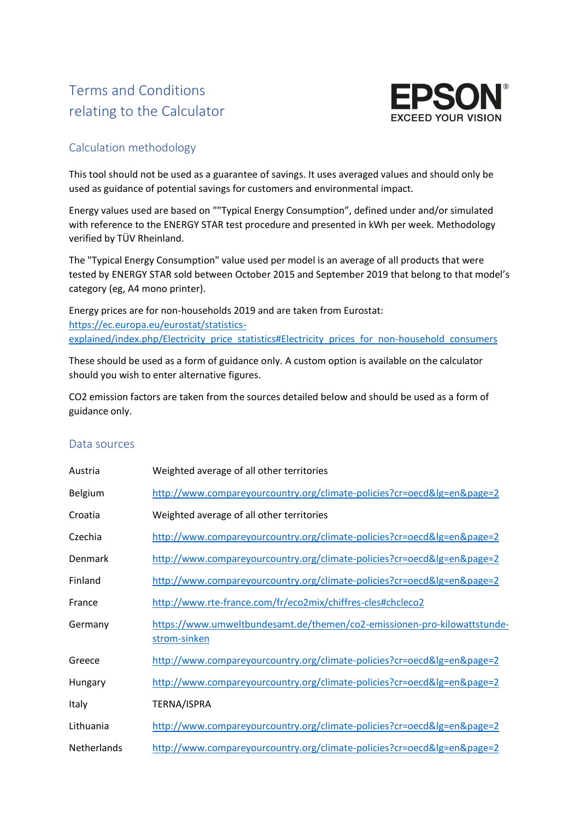## Terms and Conditions relating to the Calculator



## Calculation methodology

This tool should not be used as a guarantee of savings. It uses averaged values and should only be used as guidance of potential savings for customers and environmental impact.

Energy values used are based on ""Typical Energy Consumption", defined under and/or simulated with reference to the ENERGY STAR test procedure and presented in kWh per week. Methodology verified by TÜV Rheinland.

The "Typical Energy Consumption" value used per model is an average of all products that were tested by ENERGY STAR sold between October 2015 and September 2019 that belong to that model's category (eg, A4 mono printer).

Energy prices are for non-households 2019 and are taken from Eurostat: [https://ec.europa.eu/eurostat/statistics](https://ec.europa.eu/eurostat/statistics-explained/index.php/Electricity_price_statistics#Electricity_prices_for_non-household_consumers)[explained/index.php/Electricity\\_price\\_statistics#Electricity\\_prices\\_for\\_non-household\\_consumers](https://ec.europa.eu/eurostat/statistics-explained/index.php/Electricity_price_statistics#Electricity_prices_for_non-household_consumers)

These should be used as a form of guidance only. A custom option is available on the calculator should you wish to enter alternative figures.

CO2 emission factors are taken from the sources detailed below and should be used as a form of guidance only.

## Data sources

| Austria     | Weighted average of all other territories                                                |
|-------------|------------------------------------------------------------------------------------------|
| Belgium     | http://www.compareyourcountry.org/climate-policies?cr=oecd≶=en&page=2                    |
| Croatia     | Weighted average of all other territories                                                |
| Czechia     | http://www.compareyourcountry.org/climate-policies?cr=oecd≶=en&page=2                    |
| Denmark     | http://www.compareyourcountry.org/climate-policies?cr=oecd≶=en&page=2                    |
| Finland     | http://www.compareyourcountry.org/climate-policies?cr=oecd≶=en&page=2                    |
| France      | http://www.rte-france.com/fr/eco2mix/chiffres-cles#chcleco2                              |
| Germany     | https://www.umweltbundesamt.de/themen/co2-emissionen-pro-kilowattstunde-<br>strom-sinken |
| Greece      | http://www.compareyourcountry.org/climate-policies?cr=oecd≶=en&page=2                    |
| Hungary     | http://www.compareyourcountry.org/climate-policies?cr=oecd≶=en&page=2                    |
| Italy       | TERNA/ISPRA                                                                              |
| Lithuania   | http://www.compareyourcountry.org/climate-policies?cr=oecd≶=en&page=2                    |
| Netherlands | http://www.compareyourcountry.org/climate-policies?cr=oecd≶=en&page=2                    |